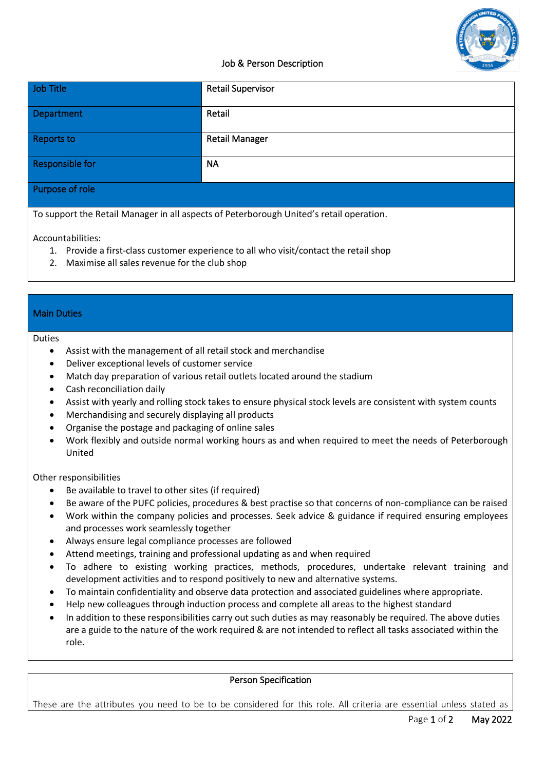

## Job & Person Description

| Job Title       | <b>Retail Supervisor</b> |
|-----------------|--------------------------|
| Department      | Retail                   |
| Reports to      | <b>Retail Manager</b>    |
| Responsible for | <b>NA</b>                |
| Purpose of role |                          |

To support the Retail Manager in all aspects of Peterborough United's retail operation.

Accountabilities:

- 1. Provide a first-class customer experience to all who visit/contact the retail shop
- 2. Maximise all sales revenue for the club shop

### Main Duties

#### Duties

- Assist with the management of all retail stock and merchandise
- Deliver exceptional levels of customer service
- Match day preparation of various retail outlets located around the stadium
- Cash reconciliation daily
- Assist with yearly and rolling stock takes to ensure physical stock levels are consistent with system counts
- Merchandising and securely displaying all products
- Organise the postage and packaging of online sales
- Work flexibly and outside normal working hours as and when required to meet the needs of Peterborough United

Other responsibilities

- Be available to travel to other sites (if required)
- Be aware of the PUFC policies, procedures & best practise so that concerns of non-compliance can be raised
- Work within the company policies and processes. Seek advice & guidance if required ensuring employees and processes work seamlessly together
- Always ensure legal compliance processes are followed
- Attend meetings, training and professional updating as and when required
- To adhere to existing working practices, methods, procedures, undertake relevant training and development activities and to respond positively to new and alternative systems.
- To maintain confidentiality and observe data protection and associated guidelines where appropriate.
- Help new colleagues through induction process and complete all areas to the highest standard
- In addition to these responsibilities carry out such duties as may reasonably be required. The above duties are a guide to the nature of the work required & are not intended to reflect all tasks associated within the role.

### Person Specification

These are the attributes you need to be to be considered for this role. All criteria are essential unless stated as